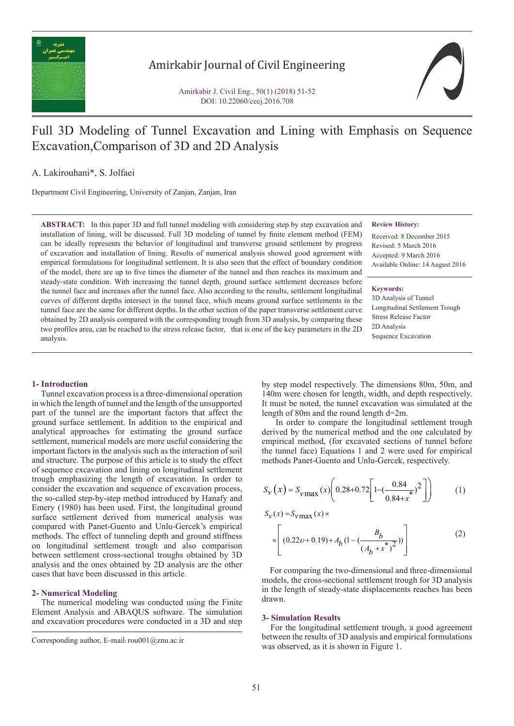

## Amirkabir Journal of Civil Engineering

Amirkabir J. Civil Eng., 50(1) (2018) 51-52 DOI: 10.22060/ceej.2016.708

# Full 3D Modeling of Tunnel Excavation and Lining with Emphasis on Sequence Excavation,Comparison of 3D and 2D Analysis

A. Lakirouhani\*, S. Jolfaei

Department Civil Engineering, University of Zanjan, Zanjan, Iran

**ABSTRACT:** In this paper 3D and full tunnel modeling with considering step by step excavation and installation of lining, will be discussed. Full 3D modeling of tunnel by finite element method (FEM) can be ideally represents the behavior of longitudinal and transverse ground settlement by progress of excavation and installation of lining. Results of numerical analysis showed good agreement with empirical formulations for longitudinal settlement. It is also seen that the effect of boundary condition of the model, there are up to five times the diameter of the tunnel and then reaches its maximum and steady-state condition. With increasing the tunnel depth, ground surface settlement decreases before the tunnel face and increases after the tunnel face. Also according to the results, settlement longitudinal curves of different depths intersect in the tunnel face, which means ground surface settlements in the tunnel face are the same for different depths. In the other section of the paper transverse settlement curve obtained by 2D analysis compared with the corresponding trough from 3D analysis, by comparing these two profiles area, can be reached to the stress release factor, that is one of the key parameters in the 2D analysis.

### **Review History:**

Received: 8 December 2015 Revised: 5 March 2016 Accepted: 9 March 2016 Available Online: 14 August 2016

#### **Keywords:**

3D Analysis of Tunnel Longitudinal Settlement Trough Stress Release Factor 2D Analysis Sequence Excavation

#### **1- Introduction**

 Tunnel excavation process is a three-dimensional operation in which the length of tunnel and the length of the unsupported part of the tunnel are the important factors that affect the ground surface settlement. In addition to the empirical and analytical approaches for estimating the ground surface settlement, numerical models are more useful considering the important factors in the analysis such as the interaction of soil and structure. The purpose of this article is to study the effect of sequence excavation and lining on longitudinal settlement trough emphasizing the length of excavation. In order to consider the excavation and sequence of excavation process, the so-called step-by-step method introduced by Hanafy and Emery (1980) has been used. First, the longitudinal ground surface settlement derived from numerical analysis was compared with Panet-Guento and Unlu-Gercek's empirical methods. The effect of tunneling depth and ground stiffness on longitudinal settlement trough and also comparison between settlement cross-sectional troughs obtained by 3D analysis and the ones obtained by 2D analysis are the other cases that have been discussed in this article.

#### **2- Numerical Modeling**

 The numerical modeling was conducted using the Finite Element Analysis and ABAQUS software. The simulation and excavation procedures were conducted in a 3D and step by step model respectively. The dimensions 80m, 50m, and 140m were chosen for length, width, and depth respectively. It must be noted, the tunnel excavation was simulated at the length of 80m and the round length d=2m.

 In order to compare the longitudinal settlement trough derived by the numerical method and the one calculated by empirical method, (for excavated sections of tunnel before the tunnel face) Equations 1 and 2 were used for empirical methods Panet-Guento and Unlu-Gercek, respectively.

$$
S_V(x) = S_{V \text{max}}(x) \left( 0.28 + 0.72 \left[ 1 - \left( \frac{0.84}{0.84 + x^*} \right)^2 \right] \right) \tag{1}
$$

 $S_v(x) = S_v \max(x)$ 

$$
\times \left[ (0.22 \nu + 0.19) + A_b \left( 1 - \left( \frac{B_b}{\left( A_b + x^* \right)^2} \right) \right) \right] \tag{2}
$$

 For comparing the two-dimensional and three-dimensional models, the cross-sectional settlement trough for 3D analysis in the length of steady-state displacements reaches has been drawn.

#### **3- Simulation Results**

 For the longitudinal settlement trough, a good agreement between the results of 3D analysis and empirical formulations was observed, as it is shown in Figure 1.

Corresponding author, E-mail: rou001@znu.ac.ir